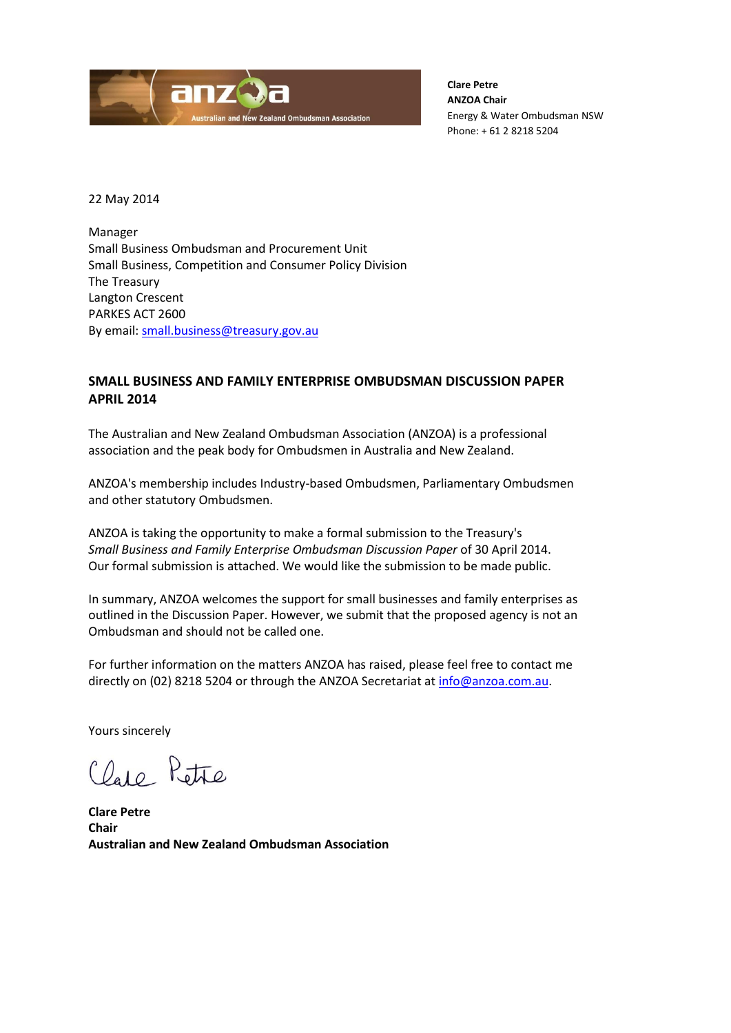

**Clare Petre ANZOA Chair** Energy & Water Ombudsman NSW Phone: + 61 2 8218 5204

22 May 2014

Manager Small Business Ombudsman and Procurement Unit Small Business, Competition and Consumer Policy Division The Treasury Langton Crescent PARKES ACT 2600 By email: [small.business@treasury.gov.au](mailto:small.business@treasury.gov.au)

## **SMALL BUSINESS AND FAMILY ENTERPRISE OMBUDSMAN DISCUSSION PAPER APRIL 2014**

The Australian and New Zealand Ombudsman Association (ANZOA) is a professional association and the peak body for Ombudsmen in Australia and New Zealand.

ANZOA's membership includes Industry-based Ombudsmen, Parliamentary Ombudsmen and other statutory Ombudsmen.

ANZOA is taking the opportunity to make a formal submission to the Treasury's *Small Business and Family Enterprise Ombudsman Discussion Paper* of 30 April 2014. Our formal submission is attached. We would like the submission to be made public.

In summary, ANZOA welcomes the support for small businesses and family enterprises as outlined in the Discussion Paper. However, we submit that the proposed agency is not an Ombudsman and should not be called one.

For further information on the matters ANZOA has raised, please feel free to contact me directly on (02) 8218 5204 or through the ANZOA Secretariat at [info@anzoa.com.au.](mailto:info@anzoa.com.au)

Yours sincerely

Clare Petre

**Clare Petre Chair Australian and New Zealand Ombudsman Association**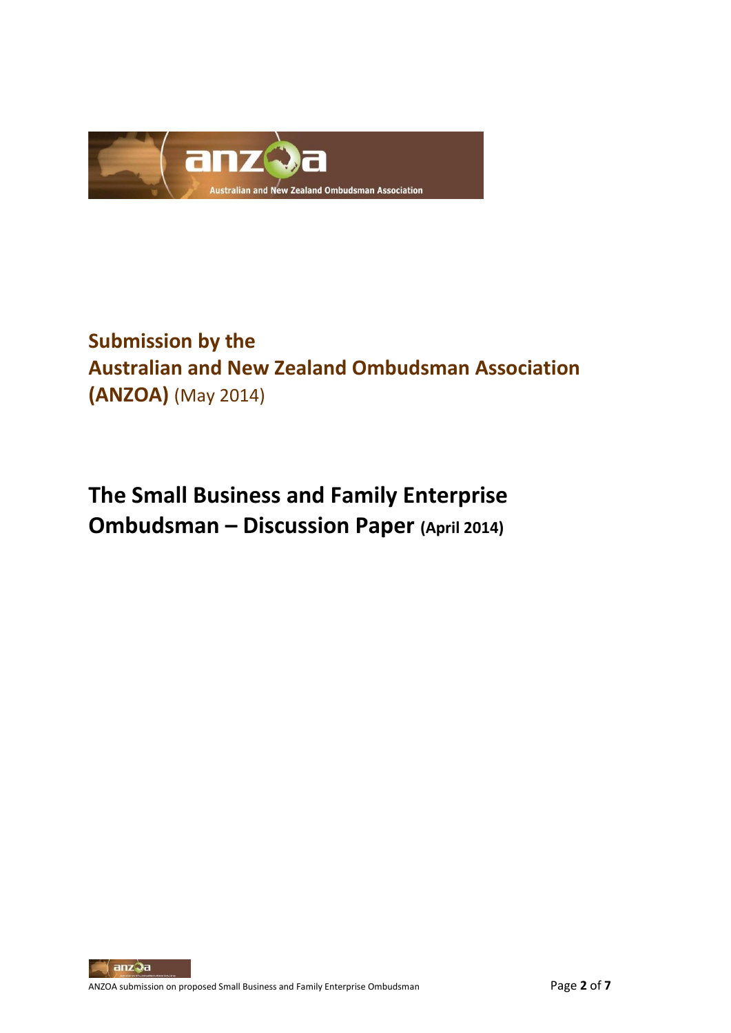

## **Submission by the Australian and New Zealand Ombudsman Association (ANZOA)** (May 2014)

# **The Small Business and Family Enterprise Ombudsman – Discussion Paper (April 2014)**

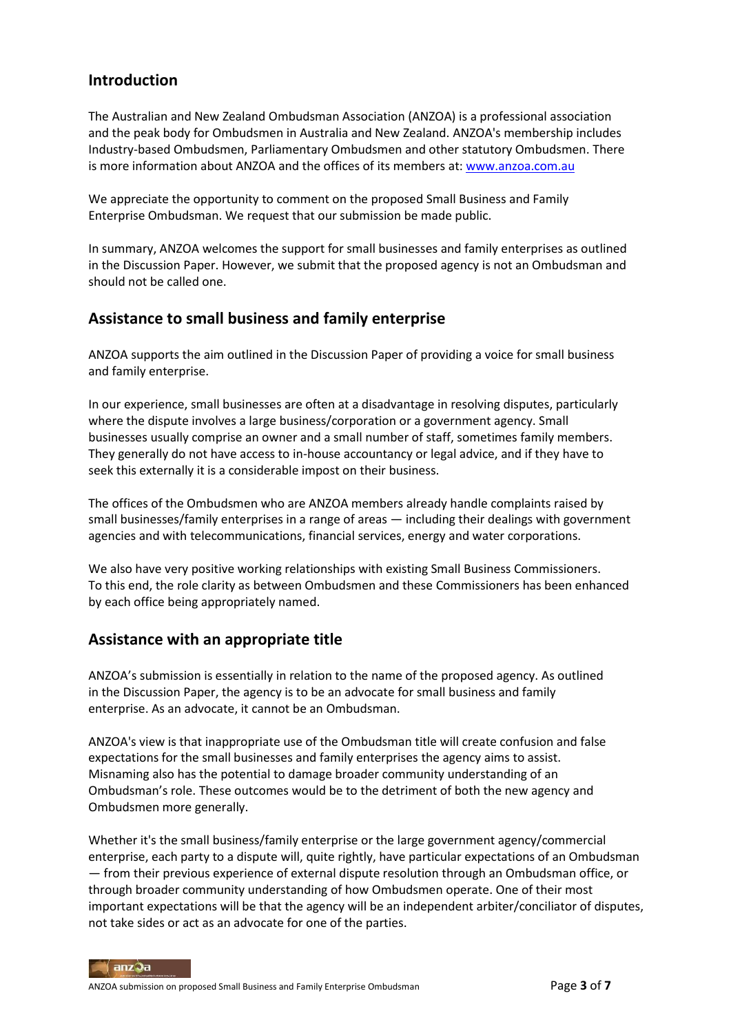## **Introduction**

The Australian and New Zealand Ombudsman Association (ANZOA) is a professional association and the peak body for Ombudsmen in Australia and New Zealand. ANZOA's membership includes Industry-based Ombudsmen, Parliamentary Ombudsmen and other statutory Ombudsmen. There is more information about ANZOA and the offices of its members at[: www.anzoa.com.au](http://www.anzoa.com.au/)

We appreciate the opportunity to comment on the proposed Small Business and Family Enterprise Ombudsman. We request that our submission be made public.

In summary, ANZOA welcomes the support for small businesses and family enterprises as outlined in the Discussion Paper. However, we submit that the proposed agency is not an Ombudsman and should not be called one.

## **Assistance to small business and family enterprise**

ANZOA supports the aim outlined in the Discussion Paper of providing a voice for small business and family enterprise.

In our experience, small businesses are often at a disadvantage in resolving disputes, particularly where the dispute involves a large business/corporation or a government agency. Small businesses usually comprise an owner and a small number of staff, sometimes family members. They generally do not have access to in-house accountancy or legal advice, and if they have to seek this externally it is a considerable impost on their business.

The offices of the Ombudsmen who are ANZOA members already handle complaints raised by small businesses/family enterprises in a range of areas — including their dealings with government agencies and with telecommunications, financial services, energy and water corporations.

We also have very positive working relationships with existing Small Business Commissioners. To this end, the role clarity as between Ombudsmen and these Commissioners has been enhanced by each office being appropriately named.

## **Assistance with an appropriate title**

ANZOA's submission is essentially in relation to the name of the proposed agency. As outlined in the Discussion Paper, the agency is to be an advocate for small business and family enterprise. As an advocate, it cannot be an Ombudsman.

ANZOA's view is that inappropriate use of the Ombudsman title will create confusion and false expectations for the small businesses and family enterprises the agency aims to assist. Misnaming also has the potential to damage broader community understanding of an Ombudsman's role. These outcomes would be to the detriment of both the new agency and Ombudsmen more generally.

Whether it's the small business/family enterprise or the large government agency/commercial enterprise, each party to a dispute will, quite rightly, have particular expectations of an Ombudsman — from their previous experience of external dispute resolution through an Ombudsman office, or through broader community understanding of how Ombudsmen operate. One of their most important expectations will be that the agency will be an independent arbiter/conciliator of disputes, not take sides or act as an advocate for one of the parties.

anzQa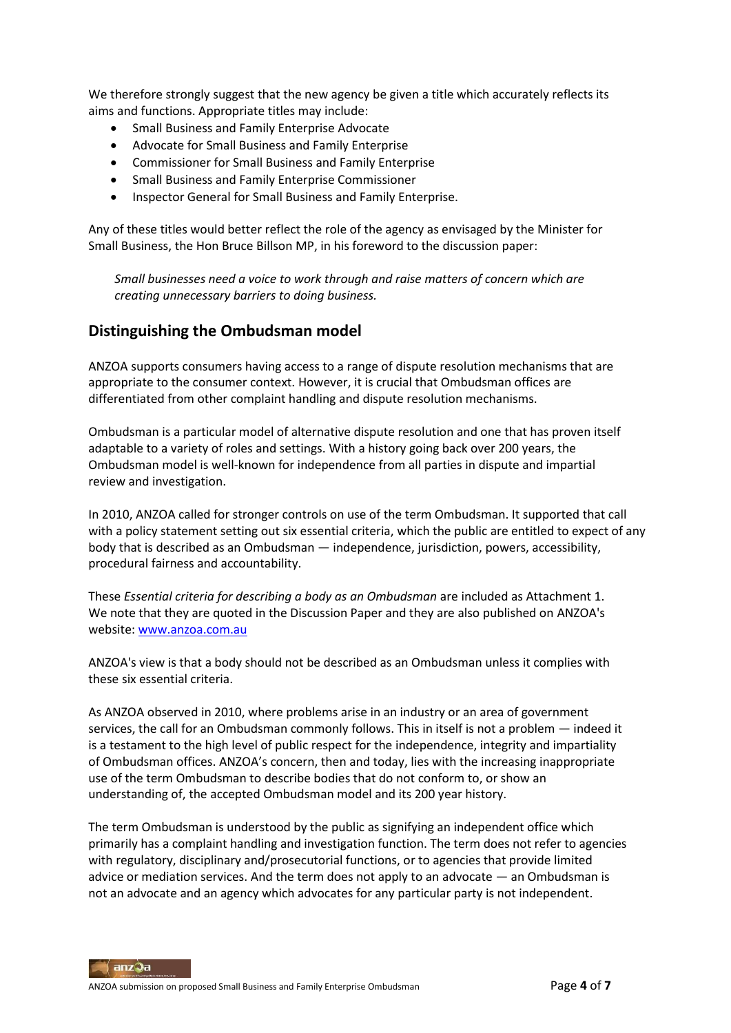We therefore strongly suggest that the new agency be given a title which accurately reflects its aims and functions. Appropriate titles may include:

- **•** Small Business and Family Enterprise Advocate
- Advocate for Small Business and Family Enterprise
- Commissioner for Small Business and Family Enterprise
- Small Business and Family Enterprise Commissioner
- Inspector General for Small Business and Family Enterprise.

Any of these titles would better reflect the role of the agency as envisaged by the Minister for Small Business, the Hon Bruce Billson MP, in his foreword to the discussion paper:

*Small businesses need a voice to work through and raise matters of concern which are creating unnecessary barriers to doing business.*

## **Distinguishing the Ombudsman model**

ANZOA supports consumers having access to a range of dispute resolution mechanisms that are appropriate to the consumer context. However, it is crucial that Ombudsman offices are differentiated from other complaint handling and dispute resolution mechanisms.

Ombudsman is a particular model of alternative dispute resolution and one that has proven itself adaptable to a variety of roles and settings. With a history going back over 200 years, the Ombudsman model is well-known for independence from all parties in dispute and impartial review and investigation.

In 2010, ANZOA called for stronger controls on use of the term Ombudsman. It supported that call with a policy statement setting out six essential criteria, which the public are entitled to expect of any body that is described as an Ombudsman — independence, jurisdiction, powers, accessibility, procedural fairness and accountability.

These *Essential criteria for describing a body as an Ombudsman* are included as Attachment 1. We note that they are quoted in the Discussion Paper and they are also published on ANZOA's website[: www.anzoa.com.au](http://www.anzoa.com.au/)

ANZOA's view is that a body should not be described as an Ombudsman unless it complies with these six essential criteria.

As ANZOA observed in 2010, where problems arise in an industry or an area of government services, the call for an Ombudsman commonly follows. This in itself is not a problem — indeed it is a testament to the high level of public respect for the independence, integrity and impartiality of Ombudsman offices. ANZOA's concern, then and today, lies with the increasing inappropriate use of the term Ombudsman to describe bodies that do not conform to, or show an understanding of, the accepted Ombudsman model and its 200 year history.

The term Ombudsman is understood by the public as signifying an independent office which primarily has a complaint handling and investigation function. The term does not refer to agencies with regulatory, disciplinary and/prosecutorial functions, or to agencies that provide limited advice or mediation services. And the term does not apply to an advocate — an Ombudsman is not an advocate and an agency which advocates for any particular party is not independent.

anzQa ANZOA submission on proposed Small Business and Family Enterprise Ombudsman Page **4** of **7**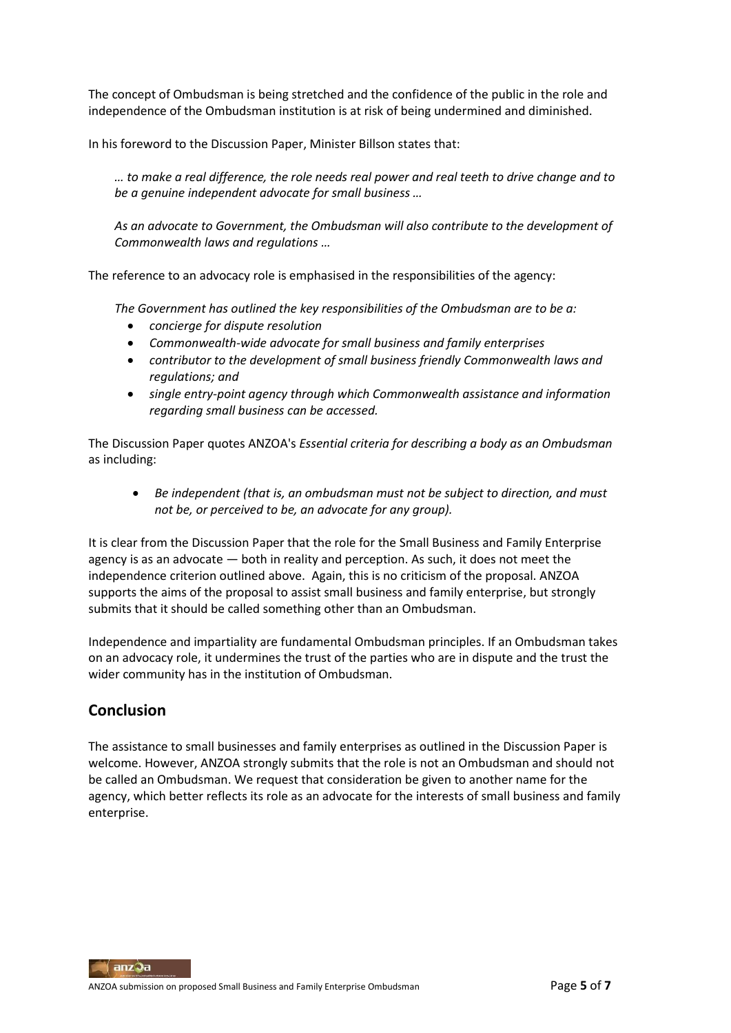The concept of Ombudsman is being stretched and the confidence of the public in the role and independence of the Ombudsman institution is at risk of being undermined and diminished.

In his foreword to the Discussion Paper, Minister Billson states that:

*… to make a real difference, the role needs real power and real teeth to drive change and to be a genuine independent advocate for small business …*

*As an advocate to Government, the Ombudsman will also contribute to the development of Commonwealth laws and regulations …*

The reference to an advocacy role is emphasised in the responsibilities of the agency:

*The Government has outlined the key responsibilities of the Ombudsman are to be a:*

- *concierge for dispute resolution*
- *Commonwealth-wide advocate for small business and family enterprises*
- *contributor to the development of small business friendly Commonwealth laws and regulations; and*
- *single entry-point agency through which Commonwealth assistance and information regarding small business can be accessed.*

The Discussion Paper quotes ANZOA's *Essential criteria for describing a body as an Ombudsman*  as including:

 *Be independent (that is, an ombudsman must not be subject to direction, and must not be, or perceived to be, an advocate for any group).*

It is clear from the Discussion Paper that the role for the Small Business and Family Enterprise agency is as an advocate — both in reality and perception. As such, it does not meet the independence criterion outlined above. Again, this is no criticism of the proposal. ANZOA supports the aims of the proposal to assist small business and family enterprise, but strongly submits that it should be called something other than an Ombudsman.

Independence and impartiality are fundamental Ombudsman principles. If an Ombudsman takes on an advocacy role, it undermines the trust of the parties who are in dispute and the trust the wider community has in the institution of Ombudsman.

## **Conclusion**

The assistance to small businesses and family enterprises as outlined in the Discussion Paper is welcome. However, ANZOA strongly submits that the role is not an Ombudsman and should not be called an Ombudsman. We request that consideration be given to another name for the agency, which better reflects its role as an advocate for the interests of small business and family enterprise.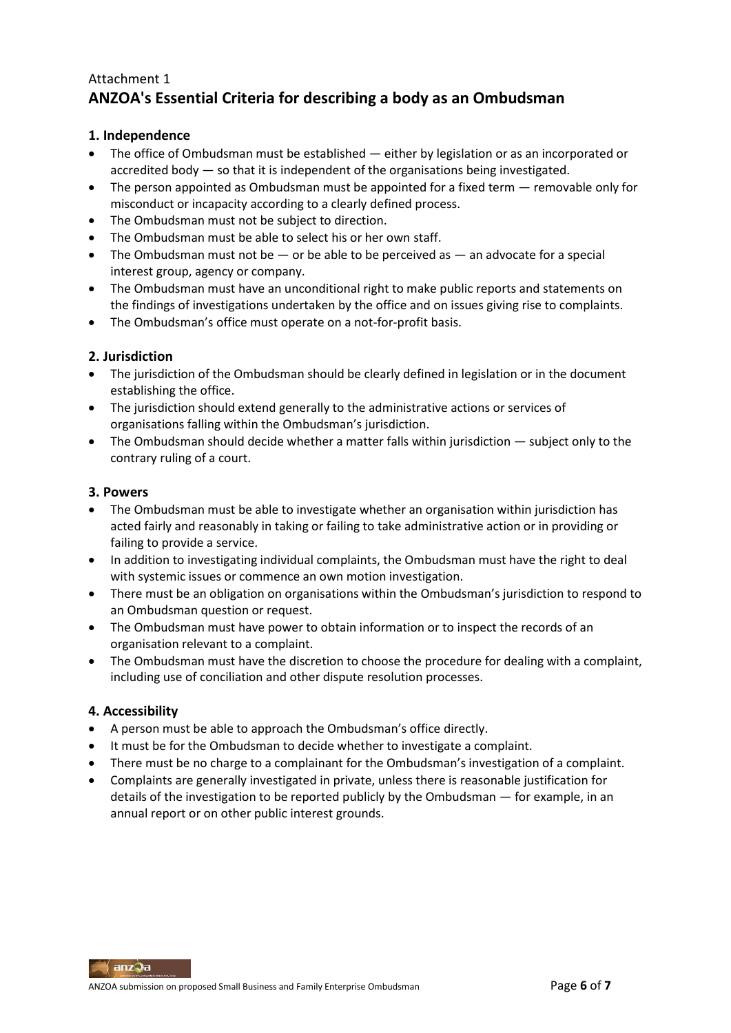## Attachment 1 **ANZOA's Essential Criteria for describing a body as an Ombudsman**

## **1. Independence**

- The office of Ombudsman must be established either by legislation or as an incorporated or accredited body — so that it is independent of the organisations being investigated.
- The person appointed as Ombudsman must be appointed for a fixed term removable only for misconduct or incapacity according to a clearly defined process.
- The Ombudsman must not be subject to direction.
- The Ombudsman must be able to select his or her own staff.
- $\bullet$  The Ombudsman must not be  $-$  or be able to be perceived as  $-$  an advocate for a special interest group, agency or company.
- The Ombudsman must have an unconditional right to make public reports and statements on the findings of investigations undertaken by the office and on issues giving rise to complaints.
- The Ombudsman's office must operate on a not-for-profit basis.

#### **2. Jurisdiction**

- The jurisdiction of the Ombudsman should be clearly defined in legislation or in the document establishing the office.
- The jurisdiction should extend generally to the administrative actions or services of organisations falling within the Ombudsman's jurisdiction.
- The Ombudsman should decide whether a matter falls within jurisdiction subject only to the contrary ruling of a court.

#### **3. Powers**

- The Ombudsman must be able to investigate whether an organisation within jurisdiction has acted fairly and reasonably in taking or failing to take administrative action or in providing or failing to provide a service.
- In addition to investigating individual complaints, the Ombudsman must have the right to deal with systemic issues or commence an own motion investigation.
- There must be an obligation on organisations within the Ombudsman's jurisdiction to respond to an Ombudsman question or request.
- The Ombudsman must have power to obtain information or to inspect the records of an organisation relevant to a complaint.
- The Ombudsman must have the discretion to choose the procedure for dealing with a complaint, including use of conciliation and other dispute resolution processes.

#### **4. Accessibility**

- A person must be able to approach the Ombudsman's office directly.
- It must be for the Ombudsman to decide whether to investigate a complaint.
- There must be no charge to a complainant for the Ombudsman's investigation of a complaint.
- Complaints are generally investigated in private, unless there is reasonable justification for details of the investigation to be reported publicly by the Ombudsman — for example, in an annual report or on other public interest grounds.